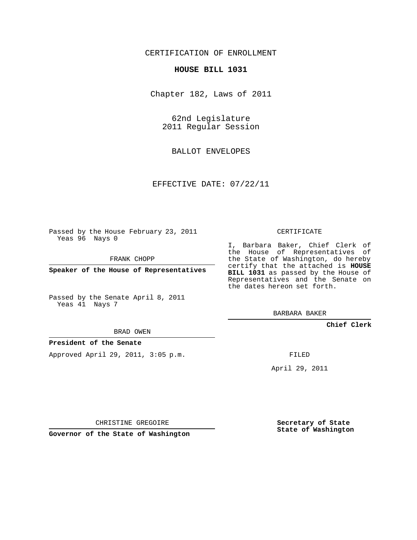## CERTIFICATION OF ENROLLMENT

### **HOUSE BILL 1031**

Chapter 182, Laws of 2011

62nd Legislature 2011 Regular Session

BALLOT ENVELOPES

EFFECTIVE DATE: 07/22/11

Passed by the House February 23, 2011 Yeas 96 Nays 0

FRANK CHOPP

**Speaker of the House of Representatives**

Passed by the Senate April 8, 2011 Yeas 41 Nays 7

BRAD OWEN

**President of the Senate**

Approved April 29, 2011, 3:05 p.m.

CERTIFICATE

I, Barbara Baker, Chief Clerk of the House of Representatives of the State of Washington, do hereby certify that the attached is **HOUSE BILL 1031** as passed by the House of Representatives and the Senate on the dates hereon set forth.

BARBARA BAKER

**Chief Clerk**

FILED

April 29, 2011

CHRISTINE GREGOIRE

**Governor of the State of Washington**

**Secretary of State State of Washington**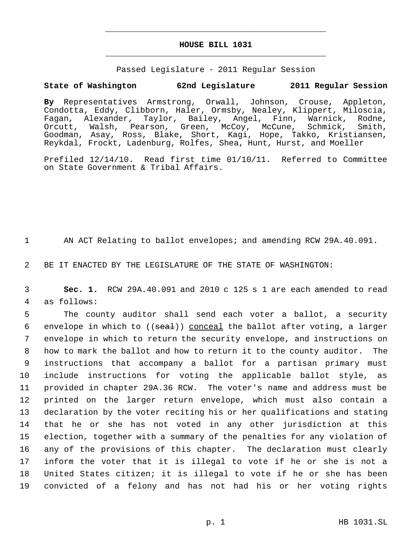# **HOUSE BILL 1031** \_\_\_\_\_\_\_\_\_\_\_\_\_\_\_\_\_\_\_\_\_\_\_\_\_\_\_\_\_\_\_\_\_\_\_\_\_\_\_\_\_\_\_\_\_

\_\_\_\_\_\_\_\_\_\_\_\_\_\_\_\_\_\_\_\_\_\_\_\_\_\_\_\_\_\_\_\_\_\_\_\_\_\_\_\_\_\_\_\_\_

Passed Legislature - 2011 Regular Session

# **State of Washington 62nd Legislature 2011 Regular Session**

**By** Representatives Armstrong, Orwall, Johnson, Crouse, Appleton, Condotta, Eddy, Clibborn, Haler, Ormsby, Nealey, Klippert, Miloscia, Fagan, Alexander, Taylor, Bailey, Angel, Finn, Warnick, Rodne, Orcutt, Walsh, Pearson, Green, McCoy, McCune, Schmick, Smith, Goodman, Asay, Ross, Blake, Short, Kagi, Hope, Takko, Kristiansen, Reykdal, Frockt, Ladenburg, Rolfes, Shea, Hunt, Hurst, and Moeller

Prefiled 12/14/10. Read first time 01/10/11. Referred to Committee on State Government & Tribal Affairs.

1 AN ACT Relating to ballot envelopes; and amending RCW 29A.40.091.

2 BE IT ENACTED BY THE LEGISLATURE OF THE STATE OF WASHINGTON:

 3 **Sec. 1.** RCW 29A.40.091 and 2010 c 125 s 1 are each amended to read 4 as follows:

 The county auditor shall send each voter a ballot, a security 6 envelope in which to  $((\text{sea}+)')$  conceal the ballot after voting, a larger envelope in which to return the security envelope, and instructions on how to mark the ballot and how to return it to the county auditor. The instructions that accompany a ballot for a partisan primary must include instructions for voting the applicable ballot style, as provided in chapter 29A.36 RCW. The voter's name and address must be printed on the larger return envelope, which must also contain a declaration by the voter reciting his or her qualifications and stating that he or she has not voted in any other jurisdiction at this election, together with a summary of the penalties for any violation of any of the provisions of this chapter. The declaration must clearly inform the voter that it is illegal to vote if he or she is not a United States citizen; it is illegal to vote if he or she has been convicted of a felony and has not had his or her voting rights